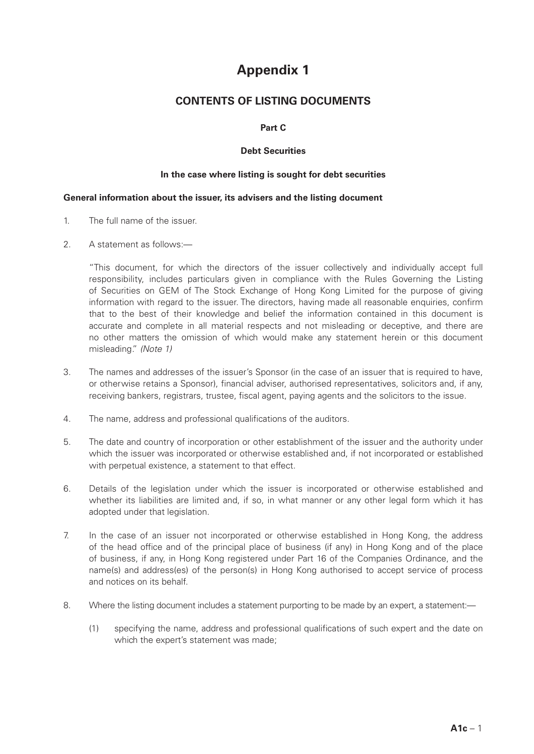# **Appendix 1**

# **CONTENTS OF LISTING DOCUMENTS**

# **Part C**

# **Debt Securities**

# **In the case where listing is sought for debt securities**

#### **General information about the issuer, its advisers and the listing document**

- 1. The full name of the issuer.
- 2. A statement as follows:—

"This document, for which the directors of the issuer collectively and individually accept full responsibility, includes particulars given in compliance with the Rules Governing the Listing of Securities on GEM of The Stock Exchange of Hong Kong Limited for the purpose of giving information with regard to the issuer. The directors, having made all reasonable enquiries, confirm that to the best of their knowledge and belief the information contained in this document is accurate and complete in all material respects and not misleading or deceptive, and there are no other matters the omission of which would make any statement herein or this document misleading." *(Note 1)*

- 3. The names and addresses of the issuer's Sponsor (in the case of an issuer that is required to have, or otherwise retains a Sponsor), financial adviser, authorised representatives, solicitors and, if any, receiving bankers, registrars, trustee, fiscal agent, paying agents and the solicitors to the issue.
- 4. The name, address and professional qualifications of the auditors.
- 5. The date and country of incorporation or other establishment of the issuer and the authority under which the issuer was incorporated or otherwise established and, if not incorporated or established with perpetual existence, a statement to that effect.
- 6. Details of the legislation under which the issuer is incorporated or otherwise established and whether its liabilities are limited and, if so, in what manner or any other legal form which it has adopted under that legislation.
- 7. In the case of an issuer not incorporated or otherwise established in Hong Kong, the address of the head office and of the principal place of business (if any) in Hong Kong and of the place of business, if any, in Hong Kong registered under Part 16 of the Companies Ordinance, and the name(s) and address(es) of the person(s) in Hong Kong authorised to accept service of process and notices on its behalf.
- 8. Where the listing document includes a statement purporting to be made by an expert, a statement:—
	- (1) specifying the name, address and professional qualifications of such expert and the date on which the expert's statement was made;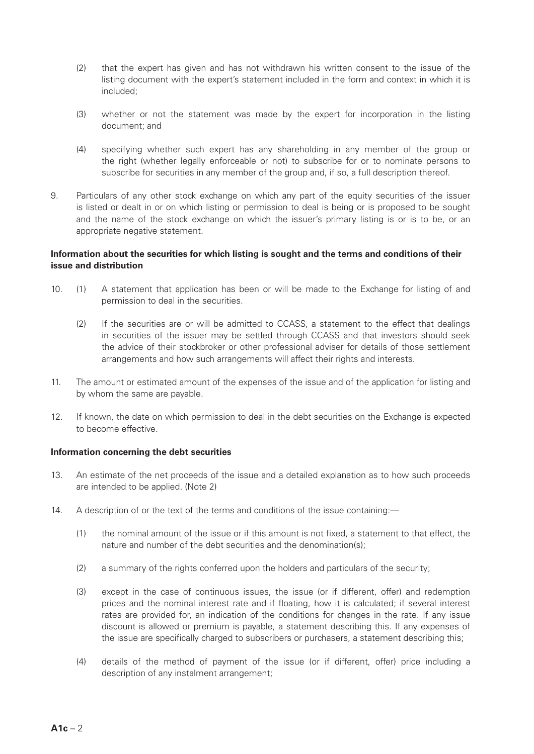- (2) that the expert has given and has not withdrawn his written consent to the issue of the listing document with the expert's statement included in the form and context in which it is included;
- (3) whether or not the statement was made by the expert for incorporation in the listing document; and
- (4) specifying whether such expert has any shareholding in any member of the group or the right (whether legally enforceable or not) to subscribe for or to nominate persons to subscribe for securities in any member of the group and, if so, a full description thereof.
- 9. Particulars of any other stock exchange on which any part of the equity securities of the issuer is listed or dealt in or on which listing or permission to deal is being or is proposed to be sought and the name of the stock exchange on which the issuer's primary listing is or is to be, or an appropriate negative statement.

# **Information about the securities for which listing is sought and the terms and conditions of their issue and distribution**

- 10. (1) A statement that application has been or will be made to the Exchange for listing of and permission to deal in the securities.
	- (2) If the securities are or will be admitted to CCASS, a statement to the effect that dealings in securities of the issuer may be settled through CCASS and that investors should seek the advice of their stockbroker or other professional adviser for details of those settlement arrangements and how such arrangements will affect their rights and interests.
- 11. The amount or estimated amount of the expenses of the issue and of the application for listing and by whom the same are payable.
- 12. If known, the date on which permission to deal in the debt securities on the Exchange is expected to become effective.

# **Information concerning the debt securities**

- 13. An estimate of the net proceeds of the issue and a detailed explanation as to how such proceeds are intended to be applied. (Note 2)
- 14. A description of or the text of the terms and conditions of the issue containing:—
	- (1) the nominal amount of the issue or if this amount is not fixed, a statement to that effect, the nature and number of the debt securities and the denomination(s);
	- (2) a summary of the rights conferred upon the holders and particulars of the security;
	- (3) except in the case of continuous issues, the issue (or if different, offer) and redemption prices and the nominal interest rate and if floating, how it is calculated; if several interest rates are provided for, an indication of the conditions for changes in the rate. If any issue discount is allowed or premium is payable, a statement describing this. If any expenses of the issue are specifically charged to subscribers or purchasers, a statement describing this;
	- (4) details of the method of payment of the issue (or if different, offer) price including a description of any instalment arrangement;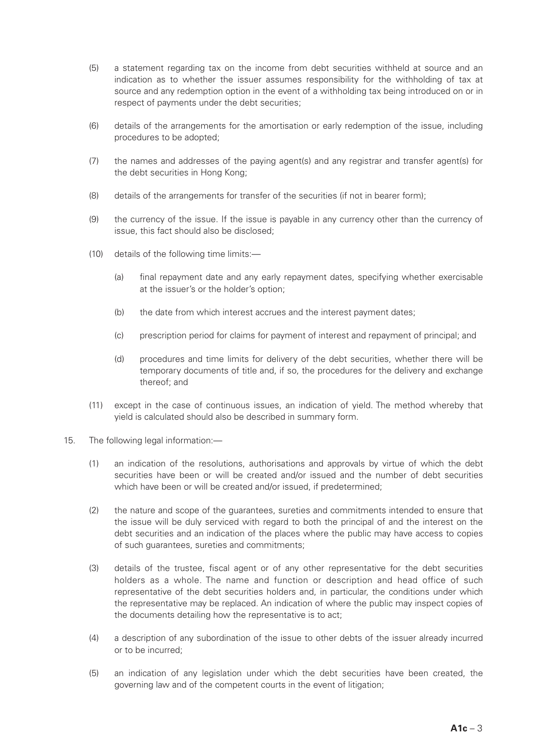- (5) a statement regarding tax on the income from debt securities withheld at source and an indication as to whether the issuer assumes responsibility for the withholding of tax at source and any redemption option in the event of a withholding tax being introduced on or in respect of payments under the debt securities;
- (6) details of the arrangements for the amortisation or early redemption of the issue, including procedures to be adopted;
- (7) the names and addresses of the paying agent(s) and any registrar and transfer agent(s) for the debt securities in Hong Kong;
- (8) details of the arrangements for transfer of the securities (if not in bearer form);
- (9) the currency of the issue. If the issue is payable in any currency other than the currency of issue, this fact should also be disclosed;
- (10) details of the following time limits:—
	- (a) final repayment date and any early repayment dates, specifying whether exercisable at the issuer's or the holder's option;
	- (b) the date from which interest accrues and the interest payment dates;
	- (c) prescription period for claims for payment of interest and repayment of principal; and
	- (d) procedures and time limits for delivery of the debt securities, whether there will be temporary documents of title and, if so, the procedures for the delivery and exchange thereof; and
- (11) except in the case of continuous issues, an indication of yield. The method whereby that yield is calculated should also be described in summary form.
- 15. The following legal information:—
	- (1) an indication of the resolutions, authorisations and approvals by virtue of which the debt securities have been or will be created and/or issued and the number of debt securities which have been or will be created and/or issued, if predetermined;
	- (2) the nature and scope of the guarantees, sureties and commitments intended to ensure that the issue will be duly serviced with regard to both the principal of and the interest on the debt securities and an indication of the places where the public may have access to copies of such guarantees, sureties and commitments;
	- (3) details of the trustee, fiscal agent or of any other representative for the debt securities holders as a whole. The name and function or description and head office of such representative of the debt securities holders and, in particular, the conditions under which the representative may be replaced. An indication of where the public may inspect copies of the documents detailing how the representative is to act;
	- (4) a description of any subordination of the issue to other debts of the issuer already incurred or to be incurred;
	- (5) an indication of any legislation under which the debt securities have been created, the governing law and of the competent courts in the event of litigation;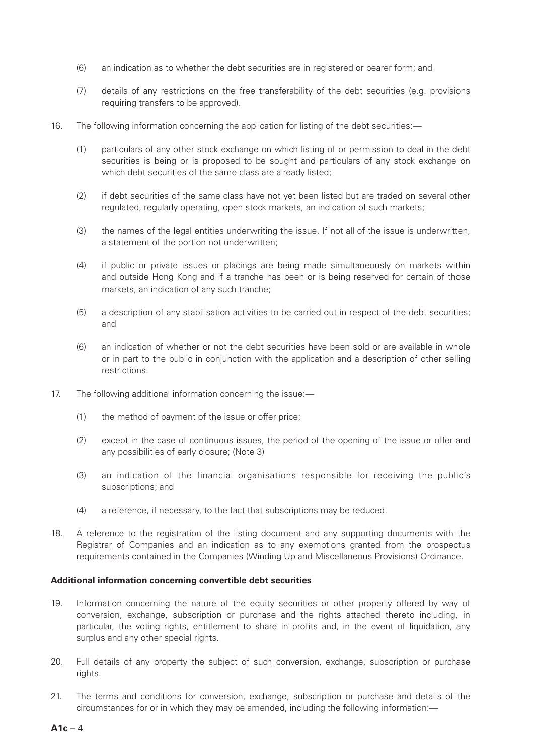- (6) an indication as to whether the debt securities are in registered or bearer form; and
- (7) details of any restrictions on the free transferability of the debt securities (e.g. provisions requiring transfers to be approved).
- 16. The following information concerning the application for listing of the debt securities:—
	- (1) particulars of any other stock exchange on which listing of or permission to deal in the debt securities is being or is proposed to be sought and particulars of any stock exchange on which debt securities of the same class are already listed;
	- (2) if debt securities of the same class have not yet been listed but are traded on several other regulated, regularly operating, open stock markets, an indication of such markets;
	- (3) the names of the legal entities underwriting the issue. If not all of the issue is underwritten, a statement of the portion not underwritten;
	- (4) if public or private issues or placings are being made simultaneously on markets within and outside Hong Kong and if a tranche has been or is being reserved for certain of those markets, an indication of any such tranche;
	- (5) a description of any stabilisation activities to be carried out in respect of the debt securities; and
	- (6) an indication of whether or not the debt securities have been sold or are available in whole or in part to the public in conjunction with the application and a description of other selling restrictions.
- 17. The following additional information concerning the issue:—
	- (1) the method of payment of the issue or offer price;
	- (2) except in the case of continuous issues, the period of the opening of the issue or offer and any possibilities of early closure; (Note 3)
	- (3) an indication of the financial organisations responsible for receiving the public's subscriptions; and
	- (4) a reference, if necessary, to the fact that subscriptions may be reduced.
- 18. A reference to the registration of the listing document and any supporting documents with the Registrar of Companies and an indication as to any exemptions granted from the prospectus requirements contained in the Companies (Winding Up and Miscellaneous Provisions) Ordinance.

#### **Additional information concerning convertible debt securities**

- 19. Information concerning the nature of the equity securities or other property offered by way of conversion, exchange, subscription or purchase and the rights attached thereto including, in particular, the voting rights, entitlement to share in profits and, in the event of liquidation, any surplus and any other special rights.
- 20. Full details of any property the subject of such conversion, exchange, subscription or purchase rights.
- 21. The terms and conditions for conversion, exchange, subscription or purchase and details of the circumstances for or in which they may be amended, including the following information:—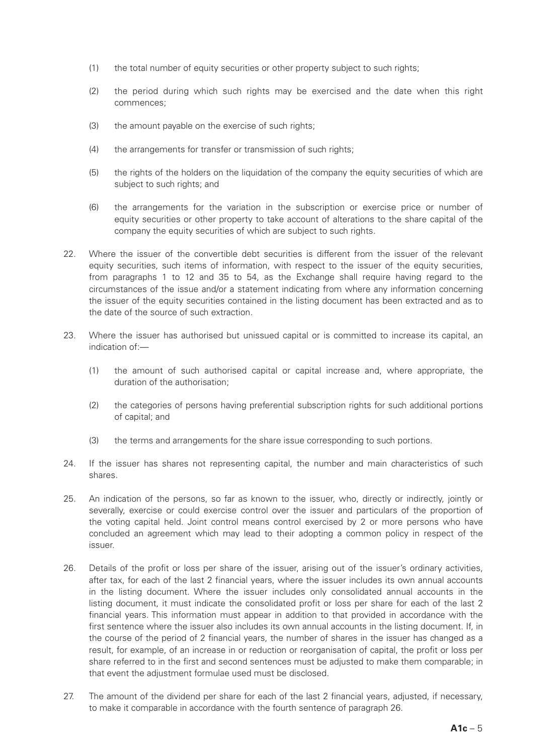- (1) the total number of equity securities or other property subject to such rights;
- (2) the period during which such rights may be exercised and the date when this right commences;
- (3) the amount payable on the exercise of such rights;
- (4) the arrangements for transfer or transmission of such rights;
- (5) the rights of the holders on the liquidation of the company the equity securities of which are subject to such rights; and
- (6) the arrangements for the variation in the subscription or exercise price or number of equity securities or other property to take account of alterations to the share capital of the company the equity securities of which are subject to such rights.
- 22. Where the issuer of the convertible debt securities is different from the issuer of the relevant equity securities, such items of information, with respect to the issuer of the equity securities, from paragraphs 1 to 12 and 35 to 54, as the Exchange shall require having regard to the circumstances of the issue and/or a statement indicating from where any information concerning the issuer of the equity securities contained in the listing document has been extracted and as to the date of the source of such extraction.
- 23. Where the issuer has authorised but unissued capital or is committed to increase its capital, an indication of:—
	- (1) the amount of such authorised capital or capital increase and, where appropriate, the duration of the authorisation;
	- (2) the categories of persons having preferential subscription rights for such additional portions of capital; and
	- (3) the terms and arrangements for the share issue corresponding to such portions.
- 24. If the issuer has shares not representing capital, the number and main characteristics of such shares.
- 25. An indication of the persons, so far as known to the issuer, who, directly or indirectly, jointly or severally, exercise or could exercise control over the issuer and particulars of the proportion of the voting capital held. Joint control means control exercised by 2 or more persons who have concluded an agreement which may lead to their adopting a common policy in respect of the issuer.
- 26. Details of the profit or loss per share of the issuer, arising out of the issuer's ordinary activities, after tax, for each of the last 2 financial years, where the issuer includes its own annual accounts in the listing document. Where the issuer includes only consolidated annual accounts in the listing document, it must indicate the consolidated profit or loss per share for each of the last 2 financial years. This information must appear in addition to that provided in accordance with the first sentence where the issuer also includes its own annual accounts in the listing document. If, in the course of the period of 2 financial years, the number of shares in the issuer has changed as a result, for example, of an increase in or reduction or reorganisation of capital, the profit or loss per share referred to in the first and second sentences must be adjusted to make them comparable; in that event the adjustment formulae used must be disclosed.
- 27. The amount of the dividend per share for each of the last 2 financial years, adjusted, if necessary, to make it comparable in accordance with the fourth sentence of paragraph 26.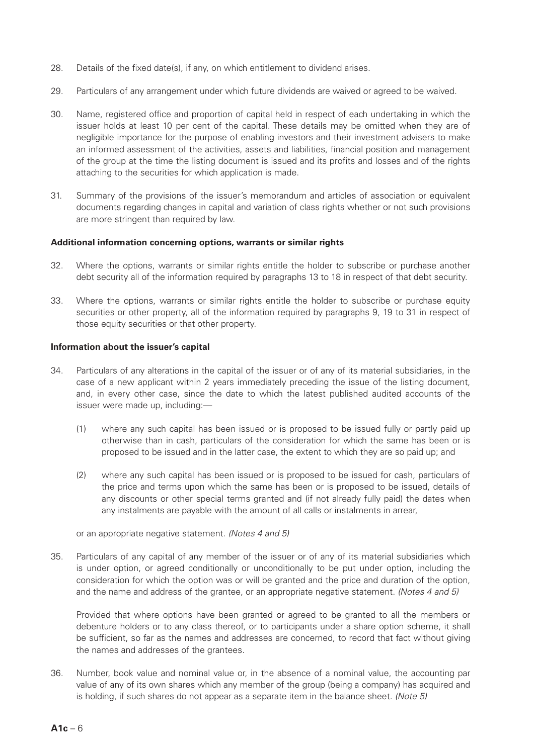- 28. Details of the fixed date(s), if any, on which entitlement to dividend arises.
- 29. Particulars of any arrangement under which future dividends are waived or agreed to be waived.
- 30. Name, registered office and proportion of capital held in respect of each undertaking in which the issuer holds at least 10 per cent of the capital. These details may be omitted when they are of negligible importance for the purpose of enabling investors and their investment advisers to make an informed assessment of the activities, assets and liabilities, financial position and management of the group at the time the listing document is issued and its profits and losses and of the rights attaching to the securities for which application is made.
- 31. Summary of the provisions of the issuer's memorandum and articles of association or equivalent documents regarding changes in capital and variation of class rights whether or not such provisions are more stringent than required by law.

#### **Additional information concerning options, warrants or similar rights**

- 32. Where the options, warrants or similar rights entitle the holder to subscribe or purchase another debt security all of the information required by paragraphs 13 to 18 in respect of that debt security.
- 33. Where the options, warrants or similar rights entitle the holder to subscribe or purchase equity securities or other property, all of the information required by paragraphs 9, 19 to 31 in respect of those equity securities or that other property.

### **Information about the issuer's capital**

- 34. Particulars of any alterations in the capital of the issuer or of any of its material subsidiaries, in the case of a new applicant within 2 years immediately preceding the issue of the listing document, and, in every other case, since the date to which the latest published audited accounts of the issuer were made up, including:—
	- (1) where any such capital has been issued or is proposed to be issued fully or partly paid up otherwise than in cash, particulars of the consideration for which the same has been or is proposed to be issued and in the latter case, the extent to which they are so paid up; and
	- (2) where any such capital has been issued or is proposed to be issued for cash, particulars of the price and terms upon which the same has been or is proposed to be issued, details of any discounts or other special terms granted and (if not already fully paid) the dates when any instalments are payable with the amount of all calls or instalments in arrear,

or an appropriate negative statement. *(Notes 4 and 5)*

35. Particulars of any capital of any member of the issuer or of any of its material subsidiaries which is under option, or agreed conditionally or unconditionally to be put under option, including the consideration for which the option was or will be granted and the price and duration of the option, and the name and address of the grantee, or an appropriate negative statement. *(Notes 4 and 5)*

Provided that where options have been granted or agreed to be granted to all the members or debenture holders or to any class thereof, or to participants under a share option scheme, it shall be sufficient, so far as the names and addresses are concerned, to record that fact without giving the names and addresses of the grantees.

36. Number, book value and nominal value or, in the absence of a nominal value, the accounting par value of any of its own shares which any member of the group (being a company) has acquired and is holding, if such shares do not appear as a separate item in the balance sheet. *(Note 5)*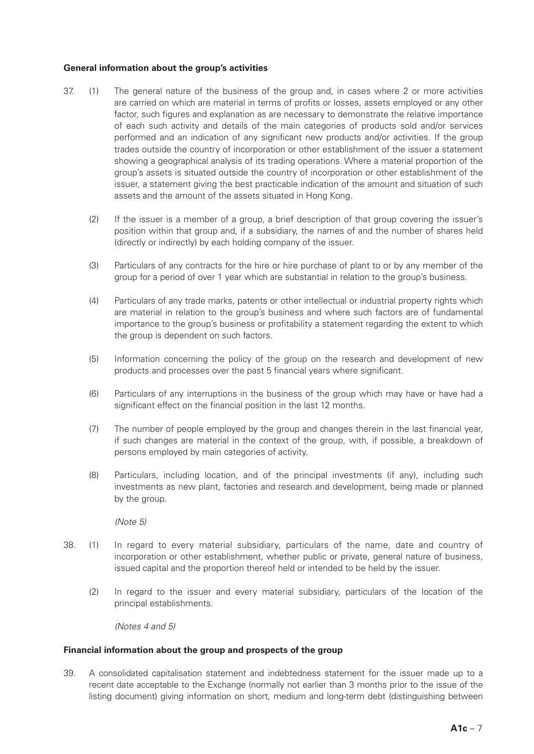# **General information about the group's activities**

- 37. (1) The general nature of the business of the group and, in cases where 2 or more activities are carried on which are material in terms of profits or losses, assets employed or any other factor, such figures and explanation as are necessary to demonstrate the relative importance of each such activity and details of the main categories of products sold and/or services performed and an indication of any significant new products and/or activities. If the group trades outside the country of incorporation or other establishment of the issuer a statement showing a geographical analysis of its trading operations. Where a material proportion of the group's assets is situated outside the country of incorporation or other establishment of the issuer, a statement giving the best practicable indication of the amount and situation of such assets and the amount of the assets situated in Hong Kong.
	- (2) If the issuer is a member of a group, a brief description of that group covering the issuer's position within that group and, if a subsidiary, the names of and the number of shares held (directly or indirectly) by each holding company of the issuer.
	- (3) Particulars of any contracts for the hire or hire purchase of plant to or by any member of the group for a period of over 1 year which are substantial in relation to the group's business.
	- (4) Particulars of any trade marks, patents or other intellectual or industrial property rights which are material in relation to the group's business and where such factors are of fundamental importance to the group's business or profitability a statement regarding the extent to which the group is dependent on such factors.
	- (5) Information concerning the policy of the group on the research and development of new products and processes over the past 5 financial years where significant.
	- (6) Particulars of any interruptions in the business of the group which may have or have had a significant effect on the financial position in the last 12 months.
	- (7) The number of people employed by the group and changes therein in the last financial year, if such changes are material in the context of the group, with, if possible, a breakdown of persons employed by main categories of activity.
	- (8) Particulars, including location, and of the principal investments (if any), including such investments as new plant, factories and research and development, being made or planned by the group.

*(Note 5)*

- 38. (1) In regard to every material subsidiary, particulars of the name, date and country of incorporation or other establishment, whether public or private, general nature of business, issued capital and the proportion thereof held or intended to be held by the issuer.
	- (2) In regard to the issuer and every material subsidiary, particulars of the location of the principal establishments.

*(Notes 4 and 5)*

# **Financial information about the group and prospects of the group**

39. A consolidated capitalisation statement and indebtedness statement for the issuer made up to a recent date acceptable to the Exchange (normally not earlier than 3 months prior to the issue of the listing document) giving information on short, medium and long-term debt (distinguishing between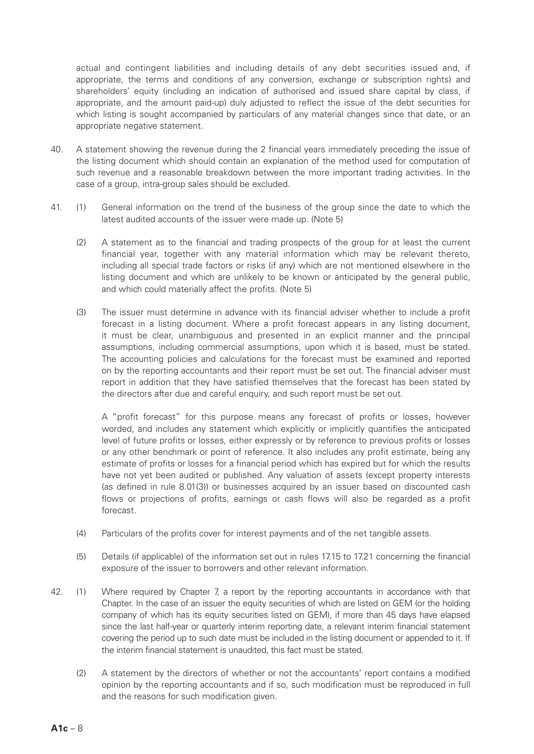actual and contingent liabilities and including details of any debt securities issued and, if appropriate, the terms and conditions of any conversion, exchange or subscription rights) and shareholders' equity (including an indication of authorised and issued share capital by class, if appropriate, and the amount paid-up) duly adjusted to reflect the issue of the debt securities for which listing is sought accompanied by particulars of any material changes since that date, or an appropriate negative statement.

- 40. A statement showing the revenue during the 2 financial years immediately preceding the issue of the listing document which should contain an explanation of the method used for computation of such revenue and a reasonable breakdown between the more important trading activities. In the case of a group, intra-group sales should be excluded.
- 41. (1) General information on the trend of the business of the group since the date to which the latest audited accounts of the issuer were made up. (Note 5)
	- (2) A statement as to the financial and trading prospects of the group for at least the current financial year, together with any material information which may be relevant thereto, including all special trade factors or risks (if any) which are not mentioned elsewhere in the listing document and which are unlikely to be known or anticipated by the general public, and which could materially affect the profits. (Note 5)
	- (3) The issuer must determine in advance with its financial adviser whether to include a profit forecast in a listing document. Where a profit forecast appears in any listing document, it must be clear, unambiguous and presented in an explicit manner and the principal assumptions, including commercial assumptions, upon which it is based, must be stated. The accounting policies and calculations for the forecast must be examined and reported on by the reporting accountants and their report must be set out. The financial adviser must report in addition that they have satisfied themselves that the forecast has been stated by the directors after due and careful enquiry, and such report must be set out.

A "profit forecast" for this purpose means any forecast of profits or losses, however worded, and includes any statement which explicitly or implicitly quantifies the anticipated level of future profits or losses, either expressly or by reference to previous profits or losses or any other benchmark or point of reference. It also includes any profit estimate, being any estimate of profits or losses for a financial period which has expired but for which the results have not yet been audited or published. Any valuation of assets (except property interests (as defined in rule 8.01(3)) or businesses acquired by an issuer based on discounted cash flows or projections of profits, earnings or cash flows will also be regarded as a profit forecast.

- (4) Particulars of the profits cover for interest payments and of the net tangible assets.
- (5) Details (if applicable) of the information set out in rules 17.15 to 17.21 concerning the financial exposure of the issuer to borrowers and other relevant information.
- 42. (1) Where required by Chapter 7, a report by the reporting accountants in accordance with that Chapter. In the case of an issuer the equity securities of which are listed on GEM (or the holding company of which has its equity securities listed on GEM), if more than 45 days have elapsed since the last half-year or quarterly interim reporting date, a relevant interim financial statement covering the period up to such date must be included in the listing document or appended to it. If the interim financial statement is unaudited, this fact must be stated.
	- (2) A statement by the directors of whether or not the accountants' report contains a modified opinion by the reporting accountants and if so, such modification must be reproduced in full and the reasons for such modification given.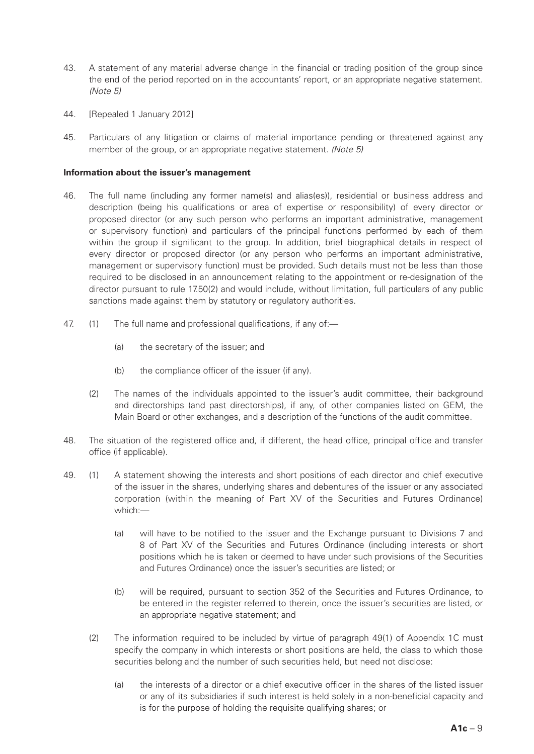- 43. A statement of any material adverse change in the financial or trading position of the group since the end of the period reported on in the accountants' report, or an appropriate negative statement. *(Note 5)*
- 44. [Repealed 1 January 2012]
- 45. Particulars of any litigation or claims of material importance pending or threatened against any member of the group, or an appropriate negative statement. *(Note 5)*

#### **Information about the issuer's management**

- 46. The full name (including any former name(s) and alias(es)), residential or business address and description (being his qualifications or area of expertise or responsibility) of every director or proposed director (or any such person who performs an important administrative, management or supervisory function) and particulars of the principal functions performed by each of them within the group if significant to the group. In addition, brief biographical details in respect of every director or proposed director (or any person who performs an important administrative, management or supervisory function) must be provided. Such details must not be less than those required to be disclosed in an announcement relating to the appointment or re-designation of the director pursuant to rule 17.50(2) and would include, without limitation, full particulars of any public sanctions made against them by statutory or regulatory authorities.
- 47. (1) The full name and professional qualifications, if any of:—
	- (a) the secretary of the issuer; and
	- (b) the compliance officer of the issuer (if any).
	- (2) The names of the individuals appointed to the issuer's audit committee, their background and directorships (and past directorships), if any, of other companies listed on GEM, the Main Board or other exchanges, and a description of the functions of the audit committee.
- 48. The situation of the registered office and, if different, the head office, principal office and transfer office (if applicable).
- 49. (1) A statement showing the interests and short positions of each director and chief executive of the issuer in the shares, underlying shares and debentures of the issuer or any associated corporation (within the meaning of Part XV of the Securities and Futures Ordinance) which:—
	- (a) will have to be notified to the issuer and the Exchange pursuant to Divisions 7 and 8 of Part XV of the Securities and Futures Ordinance (including interests or short positions which he is taken or deemed to have under such provisions of the Securities and Futures Ordinance) once the issuer's securities are listed; or
	- (b) will be required, pursuant to section 352 of the Securities and Futures Ordinance, to be entered in the register referred to therein, once the issuer's securities are listed, or an appropriate negative statement; and
	- (2) The information required to be included by virtue of paragraph 49(1) of Appendix 1C must specify the company in which interests or short positions are held, the class to which those securities belong and the number of such securities held, but need not disclose:
		- (a) the interests of a director or a chief executive officer in the shares of the listed issuer or any of its subsidiaries if such interest is held solely in a non-beneficial capacity and is for the purpose of holding the requisite qualifying shares; or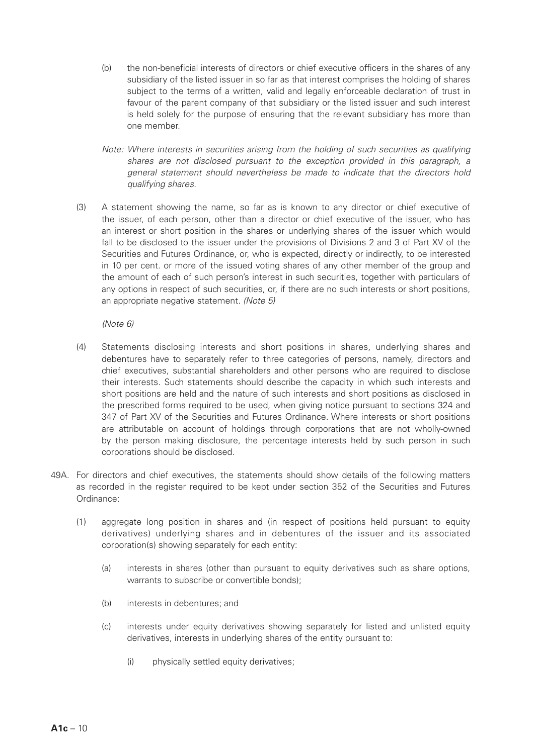- (b) the non-beneficial interests of directors or chief executive officers in the shares of any subsidiary of the listed issuer in so far as that interest comprises the holding of shares subject to the terms of a written, valid and legally enforceable declaration of trust in favour of the parent company of that subsidiary or the listed issuer and such interest is held solely for the purpose of ensuring that the relevant subsidiary has more than one member.
- *Note: Where interests in securities arising from the holding of such securities as qualifying shares are not disclosed pursuant to the exception provided in this paragraph, a general statement should nevertheless be made to indicate that the directors hold qualifying shares.*
- (3) A statement showing the name, so far as is known to any director or chief executive of the issuer, of each person, other than a director or chief executive of the issuer, who has an interest or short position in the shares or underlying shares of the issuer which would fall to be disclosed to the issuer under the provisions of Divisions 2 and 3 of Part XV of the Securities and Futures Ordinance, or, who is expected, directly or indirectly, to be interested in 10 per cent. or more of the issued voting shares of any other member of the group and the amount of each of such person's interest in such securities, together with particulars of any options in respect of such securities, or, if there are no such interests or short positions, an appropriate negative statement. *(Note 5)*

*(Note 6)*

- (4) Statements disclosing interests and short positions in shares, underlying shares and debentures have to separately refer to three categories of persons, namely, directors and chief executives, substantial shareholders and other persons who are required to disclose their interests. Such statements should describe the capacity in which such interests and short positions are held and the nature of such interests and short positions as disclosed in the prescribed forms required to be used, when giving notice pursuant to sections 324 and 347 of Part XV of the Securities and Futures Ordinance. Where interests or short positions are attributable on account of holdings through corporations that are not wholly-owned by the person making disclosure, the percentage interests held by such person in such corporations should be disclosed.
- 49A. For directors and chief executives, the statements should show details of the following matters as recorded in the register required to be kept under section 352 of the Securities and Futures Ordinance:
	- (1) aggregate long position in shares and (in respect of positions held pursuant to equity derivatives) underlying shares and in debentures of the issuer and its associated corporation(s) showing separately for each entity:
		- (a) interests in shares (other than pursuant to equity derivatives such as share options, warrants to subscribe or convertible bonds);
		- (b) interests in debentures; and
		- (c) interests under equity derivatives showing separately for listed and unlisted equity derivatives, interests in underlying shares of the entity pursuant to:
			- (i) physically settled equity derivatives;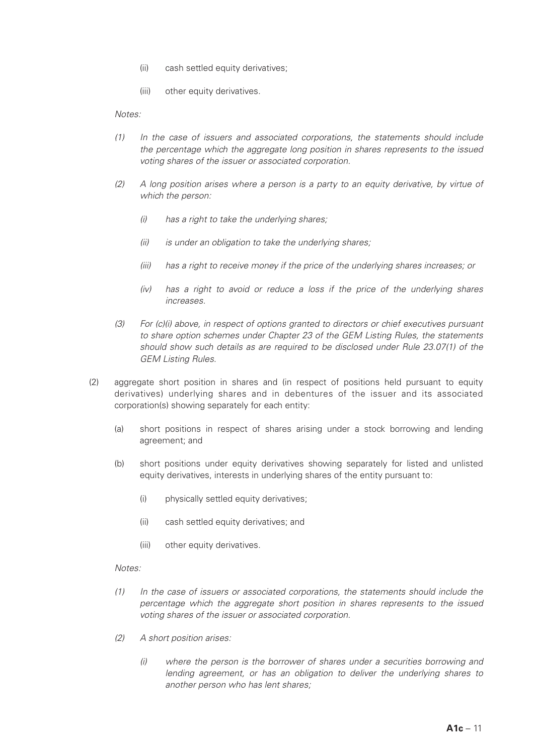- (ii) cash settled equity derivatives;
- (iii) other equity derivatives.

*Notes:*

- *(1) In the case of issuers and associated corporations, the statements should include the percentage which the aggregate long position in shares represents to the issued voting shares of the issuer or associated corporation.*
- *(2) A long position arises where a person is a party to an equity derivative, by virtue of which the person:*
	- *(i) has a right to take the underlying shares;*
	- *(ii) is under an obligation to take the underlying shares;*
	- *(iii) has a right to receive money if the price of the underlying shares increases; or*
	- *(iv) has a right to avoid or reduce a loss if the price of the underlying shares increases.*
- *(3) For (c)(i) above, in respect of options granted to directors or chief executives pursuant to share option schemes under Chapter 23 of the GEM Listing Rules, the statements should show such details as are required to be disclosed under Rule 23.07(1) of the GEM Listing Rules.*
- (2) aggregate short position in shares and (in respect of positions held pursuant to equity derivatives) underlying shares and in debentures of the issuer and its associated corporation(s) showing separately for each entity:
	- (a) short positions in respect of shares arising under a stock borrowing and lending agreement; and
	- (b) short positions under equity derivatives showing separately for listed and unlisted equity derivatives, interests in underlying shares of the entity pursuant to:
		- (i) physically settled equity derivatives;
		- (ii) cash settled equity derivatives; and
		- (iii) other equity derivatives.

#### *Notes:*

- *(1) In the case of issuers or associated corporations, the statements should include the percentage which the aggregate short position in shares represents to the issued voting shares of the issuer or associated corporation.*
- *(2) A short position arises:*
	- *(i) where the person is the borrower of shares under a securities borrowing and lending agreement, or has an obligation to deliver the underlying shares to another person who has lent shares;*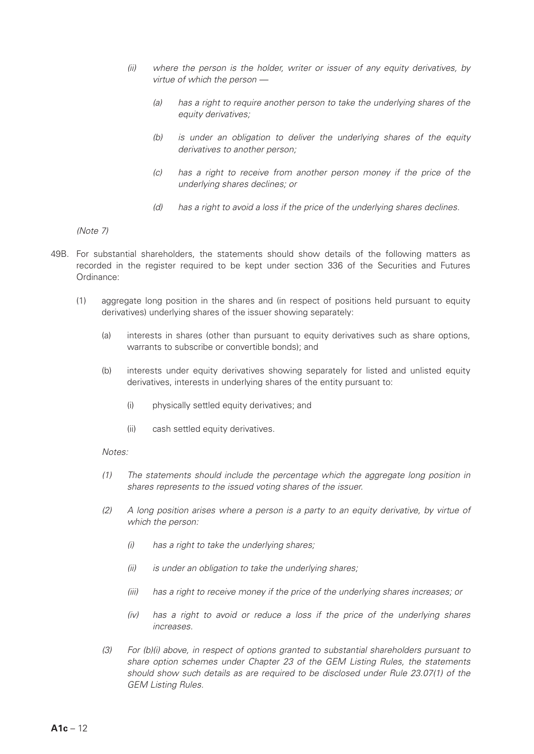- *(ii) where the person is the holder, writer or issuer of any equity derivatives, by virtue of which the person —*
	- *(a) has a right to require another person to take the underlying shares of the equity derivatives;*
	- *(b) is under an obligation to deliver the underlying shares of the equity derivatives to another person;*
	- *(c) has a right to receive from another person money if the price of the underlying shares declines; or*
	- *(d) has a right to avoid a loss if the price of the underlying shares declines.*

*(Note 7)*

- 49B. For substantial shareholders, the statements should show details of the following matters as recorded in the register required to be kept under section 336 of the Securities and Futures Ordinance:
	- (1) aggregate long position in the shares and (in respect of positions held pursuant to equity derivatives) underlying shares of the issuer showing separately:
		- (a) interests in shares (other than pursuant to equity derivatives such as share options, warrants to subscribe or convertible bonds); and
		- (b) interests under equity derivatives showing separately for listed and unlisted equity derivatives, interests in underlying shares of the entity pursuant to:
			- (i) physically settled equity derivatives; and
			- (ii) cash settled equity derivatives.

#### *Notes:*

- *(1) The statements should include the percentage which the aggregate long position in shares represents to the issued voting shares of the issuer.*
- *(2) A long position arises where a person is a party to an equity derivative, by virtue of which the person:*
	- *(i) has a right to take the underlying shares;*
	- *(ii) is under an obligation to take the underlying shares;*
	- *(iii) has a right to receive money if the price of the underlying shares increases; or*
	- *(iv) has a right to avoid or reduce a loss if the price of the underlying shares increases.*
- *(3) For (b)(i) above, in respect of options granted to substantial shareholders pursuant to share option schemes under Chapter 23 of the GEM Listing Rules, the statements should show such details as are required to be disclosed under Rule 23.07(1) of the GEM Listing Rules.*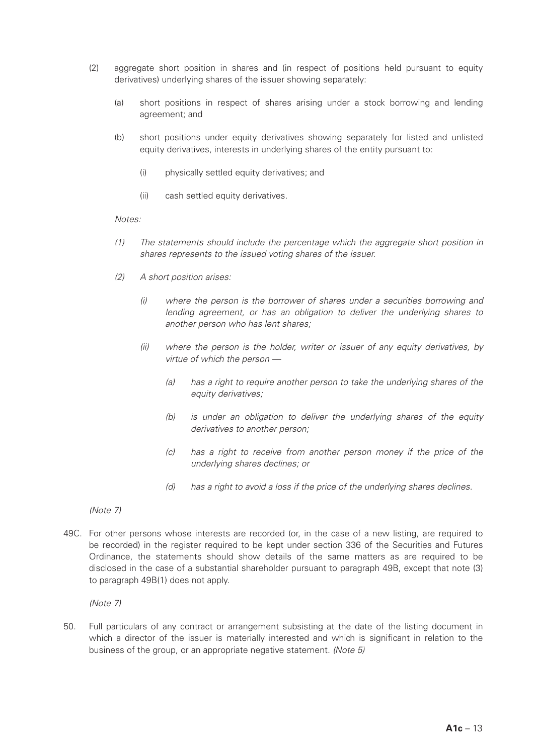- (2) aggregate short position in shares and (in respect of positions held pursuant to equity derivatives) underlying shares of the issuer showing separately:
	- (a) short positions in respect of shares arising under a stock borrowing and lending agreement; and
	- (b) short positions under equity derivatives showing separately for listed and unlisted equity derivatives, interests in underlying shares of the entity pursuant to:
		- (i) physically settled equity derivatives; and
		- (ii) cash settled equity derivatives.

#### *Notes:*

- *(1) The statements should include the percentage which the aggregate short position in shares represents to the issued voting shares of the issuer.*
- *(2) A short position arises:*
	- *(i) where the person is the borrower of shares under a securities borrowing and lending agreement, or has an obligation to deliver the underlying shares to another person who has lent shares;*
	- *(ii) where the person is the holder, writer or issuer of any equity derivatives, by virtue of which the person —*
		- *(a) has a right to require another person to take the underlying shares of the equity derivatives;*
		- *(b) is under an obligation to deliver the underlying shares of the equity derivatives to another person;*
		- *(c) has a right to receive from another person money if the price of the underlying shares declines; or*
		- *(d) has a right to avoid a loss if the price of the underlying shares declines.*

*(Note 7)*

49C. For other persons whose interests are recorded (or, in the case of a new listing, are required to be recorded) in the register required to be kept under section 336 of the Securities and Futures Ordinance, the statements should show details of the same matters as are required to be disclosed in the case of a substantial shareholder pursuant to paragraph 49B, except that note (3) to paragraph 49B(1) does not apply.

*(Note 7)*

50. Full particulars of any contract or arrangement subsisting at the date of the listing document in which a director of the issuer is materially interested and which is significant in relation to the business of the group, or an appropriate negative statement. *(Note 5)*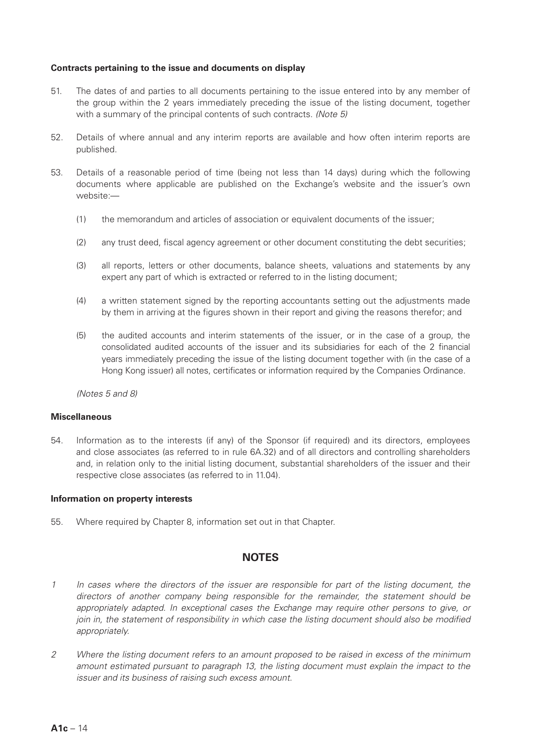### **Contracts pertaining to the issue and documents on display**

- 51. The dates of and parties to all documents pertaining to the issue entered into by any member of the group within the 2 years immediately preceding the issue of the listing document, together with a summary of the principal contents of such contracts. *(Note 5)*
- 52. Details of where annual and any interim reports are available and how often interim reports are published.
- 53. Details of a reasonable period of time (being not less than 14 days) during which the following documents where applicable are published on the Exchange's website and the issuer's own website:—
	- (1) the memorandum and articles of association or equivalent documents of the issuer;
	- (2) any trust deed, fiscal agency agreement or other document constituting the debt securities;
	- (3) all reports, letters or other documents, balance sheets, valuations and statements by any expert any part of which is extracted or referred to in the listing document;
	- (4) a written statement signed by the reporting accountants setting out the adjustments made by them in arriving at the figures shown in their report and giving the reasons therefor; and
	- (5) the audited accounts and interim statements of the issuer, or in the case of a group, the consolidated audited accounts of the issuer and its subsidiaries for each of the 2 financial years immediately preceding the issue of the listing document together with (in the case of a Hong Kong issuer) all notes, certificates or information required by the Companies Ordinance.

*(Notes 5 and 8)*

#### **Miscellaneous**

54. Information as to the interests (if any) of the Sponsor (if required) and its directors, employees and close associates (as referred to in rule 6A.32) and of all directors and controlling shareholders and, in relation only to the initial listing document, substantial shareholders of the issuer and their respective close associates (as referred to in 11.04).

#### **Information on property interests**

55. Where required by Chapter 8, information set out in that Chapter.

# **NOTES**

- *1 In cases where the directors of the issuer are responsible for part of the listing document, the directors of another company being responsible for the remainder, the statement should be appropriately adapted. In exceptional cases the Exchange may require other persons to give, or join in, the statement of responsibility in which case the listing document should also be modified appropriately.*
- *2 Where the listing document refers to an amount proposed to be raised in excess of the minimum amount estimated pursuant to paragraph 13, the listing document must explain the impact to the issuer and its business of raising such excess amount.*